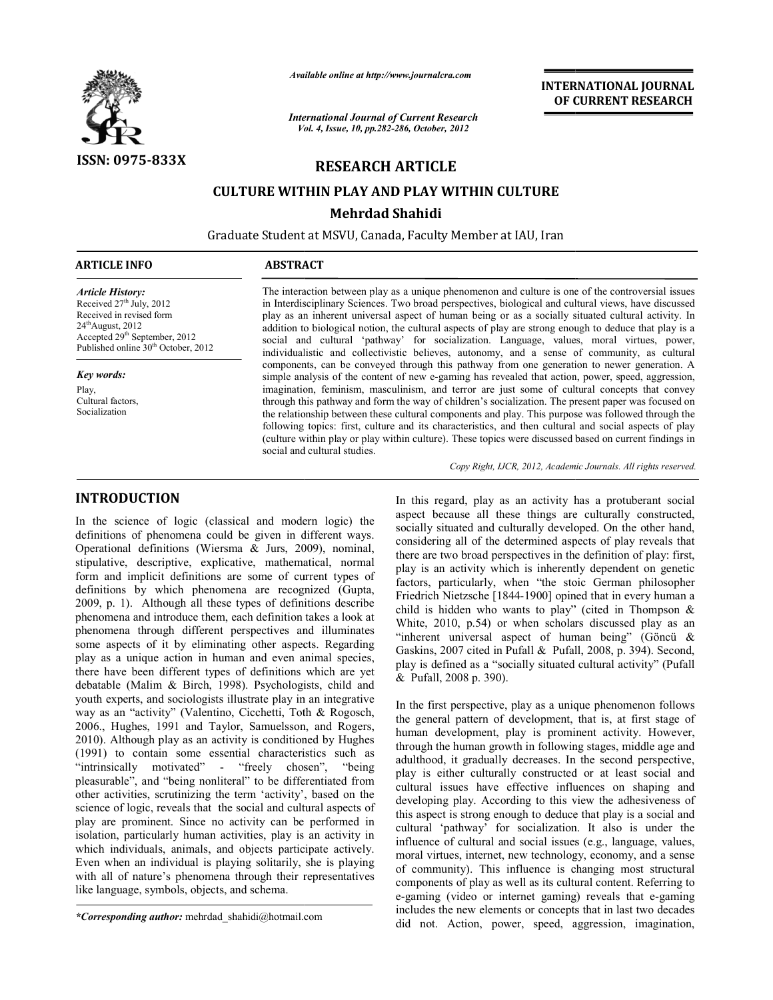

*Available online at http://www.journalcra.com*

*International Journal of Current Research Vol. ternational 4, Issue, 10, pp.282-286, October, <sup>2012</sup>*

**INTERNATIONAL JOURNAL OF CURRENT RESEARCH** 

## **RESEARCH ARTICLE**

# **CULTURE WITHIN PLAY AND PLAY WITHIN CULTURE CULTURE WITHIN Mehrdad Shahidi**

Graduate Student at MSVU, Canada, Faculty Member at IAU, Iran

## **ARTICLE INFO ABSTRACT**

*Article History:* Received  $27<sup>th</sup>$  July,  $2012$ Received in revised form  $24<sup>th</sup>$ August, 2012 Accepted 29<sup>th</sup> September, 2012 Published online 30<sup>th</sup> October, 2012

*Key words:*

Play, Cultural factors, Socialization

The interaction between play as a unique phenomenon and culture is one of the controversial issues The interaction between play as a unique phenomenon and culture is one of the controversial issues<br>in Interdisciplinary Sciences. Two broad perspectives, biological and cultural views, have discussed<br>play as an inherent un play as an inherent universal aspect of human being or as a socially situated cultural activity. addition to biological notion, the cultural aspects of play are strong enough to deduce that play is a social and cultural 'pathway' for socialization. Language, values, moral virtues, power, individualistic and collectivistic believes, autonomy, and a sense of community, as cultural components, can be conveyed through this pathway from one generation to newer generation. A simple analysis of the content of new e-gaming has revealed that action, power, speed, aggression, imagination, feminism, masculinism, and terror are just some of cultural concepts that convey imagination, feminism, masculinism, and terror are just some of cultural concepts that convey through this pathway and form the way of children's socialization. The present paper was focused on the relationship between the the relationship between these cultural components and play. This purpose was followed through the following topics: first, culture and its characteristics, and then cultural and social aspects of play (culture within play or play within culture). These topics were discussed based on current social and cultural studies. lition to biological notion, the cultural aspects of play are strong enough to deduce that play is a cial and cultural 'pathway' for socialization. Language, values, moral virtues, power, ividualistic and collectivistic be

Copy Right, IJCR, 2012, Academic Journals. All rights reserved.

# **INTRODUCTION**

In the science of logic (classical and modern logic) the definitions of phenomena could be given in different ways. Operational definitions (Wiersma & Jurs, 2009), nominal, stipulative, descriptive, explicative, mathematical, normal form and implicit definitions are some of current types of definitions by which phenomena are recognized (Gupta, 2009, p. 1). Although all these types of definitions describe phenomena and introduce them, each definition takes a look at phenomena through different perspectives and illuminates some aspects of it by eliminating other aspects. Regarding play as a unique action in human and even animal species, there have been different types of definitions which are yet debatable (Malim & Birch, 1998). Psychologists, child and youth experts, and sociologists illustrate play in an integrative way as an "activity" (Valentino, Cicchetti, Toth & Rogosch, 2006., Hughes, 1991 and Taylor, Samuelsson, and Rogers, 2010). Although play as an activity is conditioned by Hughes (1991) to contain some essential characteristics such as "intrinsically motivated" - "freely chosen", "being pleasurable", and "being nonliteral" to be differentiated from other activities, scrutinizing the term 'activity', based on the science of logic, reveals that the social and cultural aspects of play are prominent. Since no activity can be performed in isolation, particularly human activities, play is an activity in which individuals, animals, and objects participate actively. Even when an individual is playing solitarily, she is playing with all of nature's phenomena through their representatives like language, symbols, objects, and schema. nce of logic (classical and modern logic) the<br>of phenomena could be given in different ways.<br>definitions (Wiersma & Jurs, 2009), nominal,<br>descriptive, explicative, mathematical, normal<br>mplicit definitions are some of curre **INTRODUCTION**<br>
In this regard, play as an activity has a protukerant social<br>
In the science of logic (classical and modern logic) the associal symiands and culturally developed. On the other hand<br>
definitions of phenomen

aspect because all these things are culturally constructed, socially situated and culturally developed. On the other hand, considering all of the determined aspects of play reveals that there are two broad perspectives in the definition of play: first, play is an activity which is inherently dependent on genetic factors, particularly, when "the stoic German philosopher Friedrich Nietzsche [1844-1900] opined that in every human a child is hidden who wants to play" (cited in Thompson  $\&$ White, 2010, p.54) or when scholars discussed play as an "inherent universal aspect of human being" (Göncü  $\&$ Gaskins, 2007 cited in Pufall & Pufall, 2008, p. 394). Second, play is defined as a "socially situated cultural activity & Pufall, 2008 p. 390). rd, play as an activity has a protuberant social<br>use all these things are culturally constructed,<br>ated and culturally developed. On the other hand,<br>all of the determined aspects of play reveals that<br>b broad perspectives in is an activity which is inherently dependent on genetic<br>rs, particularly, when "the stoic German philosopher<br>lich Nietzsche [1844-1900] opined that in every human a<br>is hidden who wants to play" (cited in Thompson &<br>e, 201

In the first perspective, play as a unique phenomenon follows the general pattern of development, that is, at first stage of human development, play is prominent activity. However, through the human growth in following stages, middle age and adulthood, it gradually decreases. In the second perspective, play is either culturally constructed or at least social and cultural issues have effective influences on shaping and play is either culturally constructed or at least social and cultural issues have effective influences on shaping and developing play. According to this view the adhesiveness of this aspect is strong enough to deduce that play is a social and cultural 'pathway' for socialization. It also is under the influence of cultural and social issues (e.g., language, values, this aspect is strong enough to deduce that play is a social and cultural 'pathway' for socialization. It also is under the influence of cultural and social issues (e.g., language, values, moral virtues, internet, new tech of community). This influence is changing most structural components of play as well as its cultural content. Referring to components of play as well as its cultural content. Referring to e-gaming (video or internet gaming) reveals that e-gaming includes the new elements or concepts that in last two decades did not. Action, power, speed, aggression, imagination, play as a unique phenomenon follows<br>development, that is, at first stage of<br>lay is prominent activity. However,<br>th in following stages, middle age and INTERNATIONAL JOURNAL<br>
Research<br>
or CURRENT RESEARCH<br>
concert of the control of the control of the control<br>
Fig. 2012<br>
LE<br>
UE WITHIN CULTURE<br>
in the concert of the controversial issues<br>
perspectives, biological and cultur

*<sup>\*</sup>Corresponding author:* mehrdad\_shahidi@hotmail.com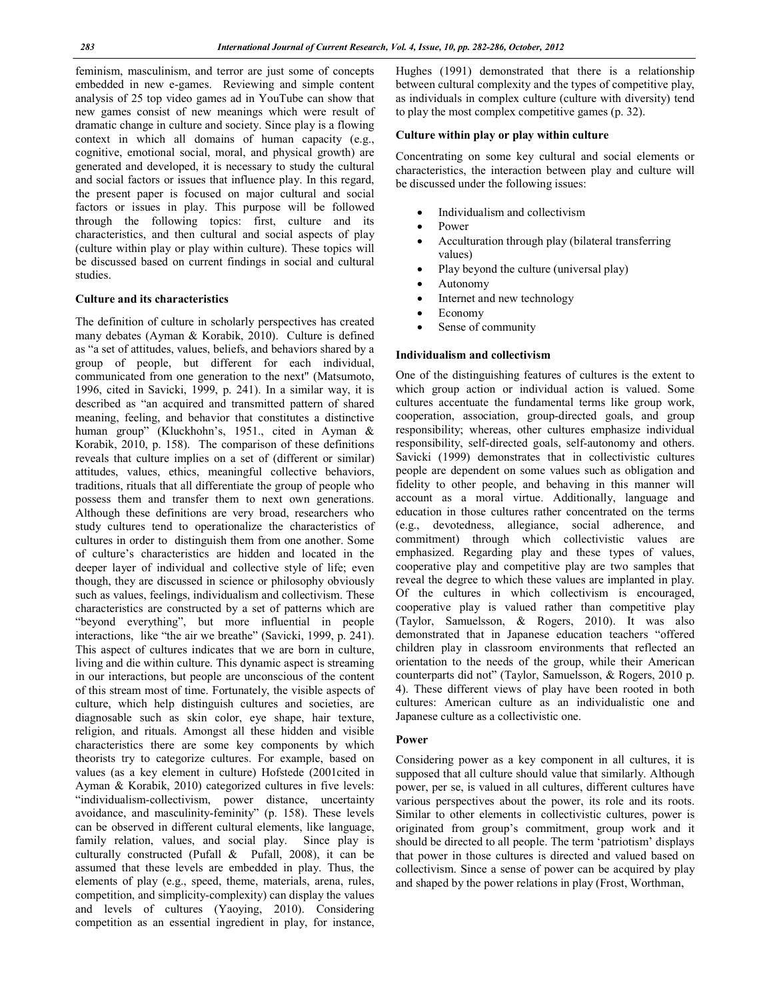feminism, masculinism, and terror are just some of concepts embedded in new e-games. Reviewing and simple content analysis of 25 top video games ad in YouTube can show that new games consist of new meanings which were result of dramatic change in culture and society. Since play is a flowing context in which all domains of human capacity (e.g., cognitive, emotional social, moral, and physical growth) are generated and developed, it is necessary to study the cultural and social factors or issues that influence play. In this regard, the present paper is focused on major cultural and social factors or issues in play. This purpose will be followed through the following topics: first, culture and its characteristics, and then cultural and social aspects of play (culture within play or play within culture). These topics will be discussed based on current findings in social and cultural studies.

### **Culture and its characteristics**

The definition of culture in scholarly perspectives has created many debates (Ayman & Korabik, 2010). Culture is defined as "a set of attitudes, values, beliefs, and behaviors shared by a group of people, but different for each individual, communicated from one generation to the next" (Matsumoto, 1996, cited in Savicki, 1999, p. 241). In a similar way, it is described as "an acquired and transmitted pattern of shared meaning, feeling, and behavior that constitutes a distinctive human group" (Kluckhohn's, 1951., cited in Ayman & Korabik, 2010, p. 158). The comparison of these definitions reveals that culture implies on a set of (different or similar) attitudes, values, ethics, meaningful collective behaviors, traditions, rituals that all differentiate the group of people who possess them and transfer them to next own generations. Although these definitions are very broad, researchers who study cultures tend to operationalize the characteristics of cultures in order to distinguish them from one another. Some of culture's characteristics are hidden and located in the deeper layer of individual and collective style of life; even though, they are discussed in science or philosophy obviously such as values, feelings, individualism and collectivism. These characteristics are constructed by a set of patterns which are "beyond everything", but more influential in people interactions, like "the air we breathe" (Savicki, 1999, p. 241). This aspect of cultures indicates that we are born in culture, living and die within culture. This dynamic aspect is streaming in our interactions, but people are unconscious of the content of this stream most of time. Fortunately, the visible aspects of culture, which help distinguish cultures and societies, are diagnosable such as skin color, eye shape, hair texture, religion, and rituals. Amongst all these hidden and visible characteristics there are some key components by which theorists try to categorize cultures. For example, based on values (as a key element in culture) Hofstede (2001cited in Ayman & Korabik, 2010) categorized cultures in five levels: "individualism-collectivism, power distance, uncertainty avoidance, and masculinity-feminity" (p. 158). These levels can be observed in different cultural elements, like language, family relation, values, and social play. Since play is culturally constructed (Pufall & Pufall, 2008), it can be assumed that these levels are embedded in play. Thus, the elements of play (e.g., speed, theme, materials, arena, rules, competition, and simplicity-complexity) can display the values and levels of cultures (Yaoying, 2010). Considering competition as an essential ingredient in play, for instance,

Hughes (1991) demonstrated that there is a relationship between cultural complexity and the types of competitive play, as individuals in complex culture (culture with diversity) tend to play the most complex competitive games (p. 32).

#### **Culture within play or play within culture**

Concentrating on some key cultural and social elements or characteristics, the interaction between play and culture will be discussed under the following issues:

- Individualism and collectivism
- Power
- Acculturation through play (bilateral transferring values)
- Play beyond the culture (universal play)
- Autonomy
- Internet and new technology
- Economy
- Sense of community

### **Individualism and collectivism**

One of the distinguishing features of cultures is the extent to which group action or individual action is valued. Some cultures accentuate the fundamental terms like group work, cooperation, association, group-directed goals, and group responsibility; whereas, other cultures emphasize individual responsibility, self-directed goals, self-autonomy and others. Savicki (1999) demonstrates that in collectivistic cultures people are dependent on some values such as obligation and fidelity to other people, and behaving in this manner will account as a moral virtue. Additionally, language and education in those cultures rather concentrated on the terms (e.g., devotedness, allegiance, social adherence, and commitment) through which collectivistic values are emphasized. Regarding play and these types of values, cooperative play and competitive play are two samples that reveal the degree to which these values are implanted in play. Of the cultures in which collectivism is encouraged, cooperative play is valued rather than competitive play (Taylor, Samuelsson, & Rogers, 2010). It was also demonstrated that in Japanese education teachers "offered children play in classroom environments that reflected an orientation to the needs of the group, while their American counterparts did not" (Taylor, Samuelsson, & Rogers, 2010 p. 4). These different views of play have been rooted in both cultures: American culture as an individualistic one and Japanese culture as a collectivistic one.

#### **Power**

Considering power as a key component in all cultures, it is supposed that all culture should value that similarly. Although power, per se, is valued in all cultures, different cultures have various perspectives about the power, its role and its roots. Similar to other elements in collectivistic cultures, power is originated from group's commitment, group work and it should be directed to all people. The term 'patriotism' displays that power in those cultures is directed and valued based on collectivism. Since a sense of power can be acquired by play and shaped by the power relations in play (Frost, Worthman,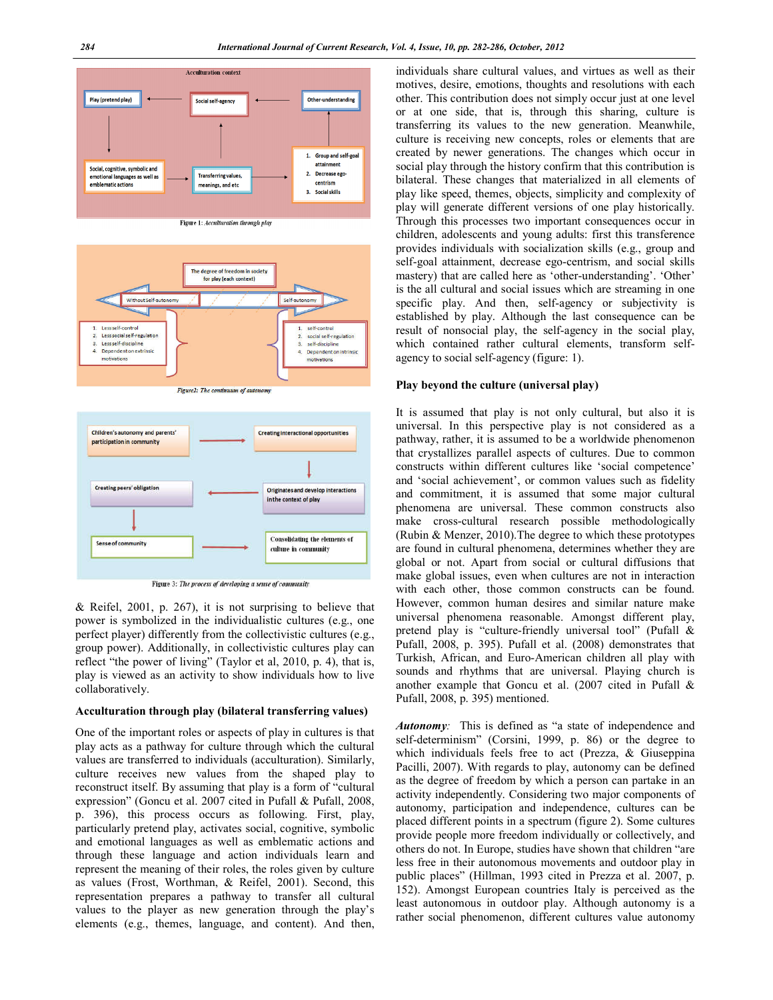

Figure 1: Acculturation through play



Figure2: The continuum of auto



Figure 3: The process of developing a sense of community

& Reifel, 2001, p. 267), it is not surprising to believe that power is symbolized in the individualistic cultures (e.g., one perfect player) differently from the collectivistic cultures (e.g., group power). Additionally, in collectivistic cultures play can reflect "the power of living" (Taylor et al, 2010, p. 4), that is, play is viewed as an activity to show individuals how to live collaboratively.

#### **Acculturation through play (bilateral transferring values)**

One of the important roles or aspects of play in cultures is that play acts as a pathway for culture through which the cultural values are transferred to individuals (acculturation). Similarly, culture receives new values from the shaped play to reconstruct itself. By assuming that play is a form of "cultural expression" (Goncu et al. 2007 cited in Pufall & Pufall, 2008, p. 396), this process occurs as following. First, play, particularly pretend play, activates social, cognitive, symbolic and emotional languages as well as emblematic actions and through these language and action individuals learn and represent the meaning of their roles, the roles given by culture as values (Frost, Worthman, & Reifel, 2001). Second, this representation prepares a pathway to transfer all cultural values to the player as new generation through the play's elements (e.g., themes, language, and content). And then,

individuals share cultural values, and virtues as well as their motives, desire, emotions, thoughts and resolutions with each other. This contribution does not simply occur just at one level or at one side, that is, through this sharing, culture is transferring its values to the new generation. Meanwhile, culture is receiving new concepts, roles or elements that are created by newer generations. The changes which occur in social play through the history confirm that this contribution is bilateral. These changes that materialized in all elements of play like speed, themes, objects, simplicity and complexity of play will generate different versions of one play historically. Through this processes two important consequences occur in children, adolescents and young adults: first this transference provides individuals with socialization skills (e.g., group and self-goal attainment, decrease ego-centrism, and social skills mastery) that are called here as 'other-understanding'. 'Other' is the all cultural and social issues which are streaming in one specific play. And then, self-agency or subjectivity is established by play. Although the last consequence can be result of nonsocial play, the self-agency in the social play, which contained rather cultural elements, transform selfagency to social self-agency (figure: 1).

#### **Play beyond the culture (universal play)**

It is assumed that play is not only cultural, but also it is universal. In this perspective play is not considered as a pathway, rather, it is assumed to be a worldwide phenomenon that crystallizes parallel aspects of cultures. Due to common constructs within different cultures like 'social competence' and 'social achievement', or common values such as fidelity and commitment, it is assumed that some major cultural phenomena are universal. These common constructs also make cross-cultural research possible methodologically (Rubin & Menzer, 2010).The degree to which these prototypes are found in cultural phenomena, determines whether they are global or not. Apart from social or cultural diffusions that make global issues, even when cultures are not in interaction with each other, those common constructs can be found. However, common human desires and similar nature make universal phenomena reasonable. Amongst different play, pretend play is "culture-friendly universal tool" (Pufall & Pufall, 2008, p. 395). Pufall et al. (2008) demonstrates that Turkish, African, and Euro-American children all play with sounds and rhythms that are universal. Playing church is another example that Goncu et al. (2007 cited in Pufall & Pufall, 2008, p. 395) mentioned.

*Autonomy:* This is defined as "a state of independence and self-determinism" (Corsini, 1999, p. 86) or the degree to which individuals feels free to act (Prezza, & Giuseppina Pacilli, 2007). With regards to play, autonomy can be defined as the degree of freedom by which a person can partake in an activity independently. Considering two major components of autonomy, participation and independence, cultures can be placed different points in a spectrum (figure 2). Some cultures provide people more freedom individually or collectively, and others do not. In Europe, studies have shown that children "are less free in their autonomous movements and outdoor play in public places" (Hillman, 1993 cited in Prezza et al. 2007, p. 152). Amongst European countries Italy is perceived as the least autonomous in outdoor play. Although autonomy is a rather social phenomenon, different cultures value autonomy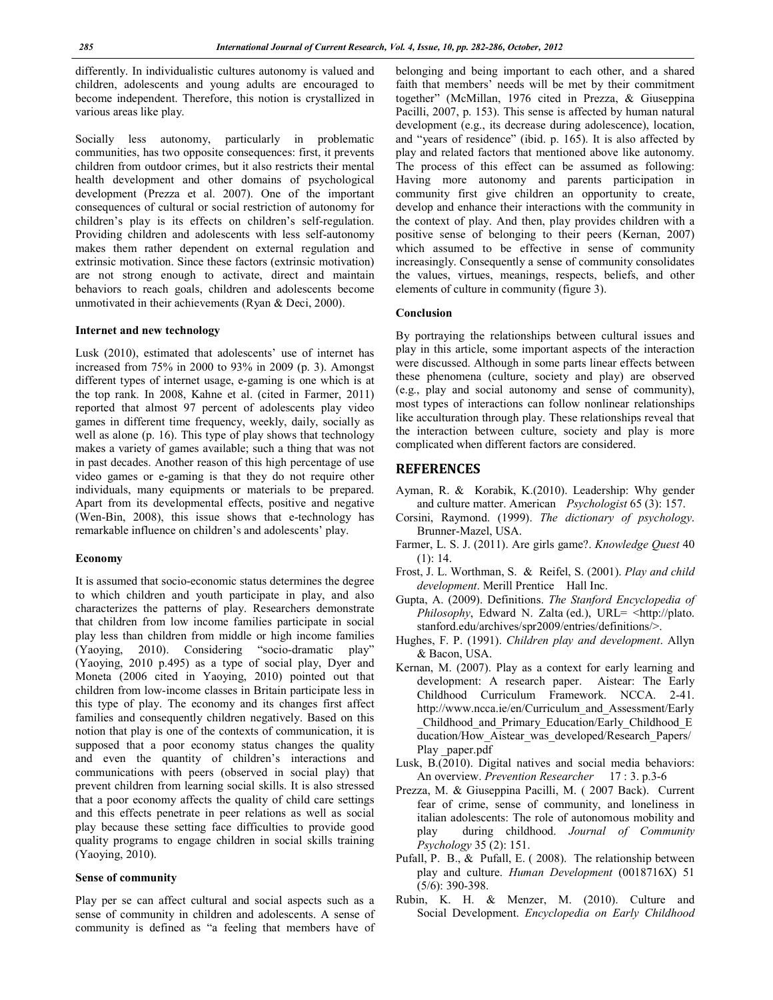differently. In individualistic cultures autonomy is valued and children, adolescents and young adults are encouraged to become independent. Therefore, this notion is crystallized in various areas like play.

Socially less autonomy, particularly in problematic communities, has two opposite consequences: first, it prevents children from outdoor crimes, but it also restricts their mental health development and other domains of psychological development (Prezza et al. 2007). One of the important consequences of cultural or social restriction of autonomy for children's play is its effects on children's self-regulation. Providing children and adolescents with less self-autonomy makes them rather dependent on external regulation and extrinsic motivation. Since these factors (extrinsic motivation) are not strong enough to activate, direct and maintain behaviors to reach goals, children and adolescents become unmotivated in their achievements (Ryan & Deci, 2000).

### **Internet and new technology**

Lusk (2010), estimated that adolescents' use of internet has increased from 75% in 2000 to 93% in 2009 (p. 3). Amongst different types of internet usage, e-gaming is one which is at the top rank. In 2008, Kahne et al. (cited in Farmer, 2011) reported that almost 97 percent of adolescents play video games in different time frequency, weekly, daily, socially as well as alone (p. 16). This type of play shows that technology makes a variety of games available; such a thing that was not in past decades. Another reason of this high percentage of use video games or e-gaming is that they do not require other individuals, many equipments or materials to be prepared. Apart from its developmental effects, positive and negative (Wen-Bin, 2008), this issue shows that e-technology has remarkable influence on children's and adolescents' play.

#### **Economy**

It is assumed that socio-economic status determines the degree to which children and youth participate in play, and also characterizes the patterns of play. Researchers demonstrate that children from low income families participate in social play less than children from middle or high income families (Yaoying, 2010). Considering "socio-dramatic play" (Yaoying, 2010 p.495) as a type of social play, Dyer and Moneta (2006 cited in Yaoying, 2010) pointed out that children from low-income classes in Britain participate less in this type of play. The economy and its changes first affect families and consequently children negatively. Based on this notion that play is one of the contexts of communication, it is supposed that a poor economy status changes the quality and even the quantity of children's interactions and communications with peers (observed in social play) that prevent children from learning social skills. It is also stressed that a poor economy affects the quality of child care settings and this effects penetrate in peer relations as well as social play because these setting face difficulties to provide good quality programs to engage children in social skills training (Yaoying, 2010).

#### **Sense of community**

Play per se can affect cultural and social aspects such as a sense of community in children and adolescents. A sense of community is defined as "a feeling that members have of

belonging and being important to each other, and a shared faith that members' needs will be met by their commitment together" (McMillan, 1976 cited in Prezza, & Giuseppina Pacilli, 2007, p. 153). This sense is affected by human natural development (e.g., its decrease during adolescence), location, and "years of residence" (ibid. p. 165). It is also affected by play and related factors that mentioned above like autonomy. The process of this effect can be assumed as following: Having more autonomy and parents participation in community first give children an opportunity to create, develop and enhance their interactions with the community in the context of play. And then, play provides children with a positive sense of belonging to their peers (Kernan, 2007) which assumed to be effective in sense of community increasingly. Consequently a sense of community consolidates the values, virtues, meanings, respects, beliefs, and other elements of culture in community (figure 3).

#### **Conclusion**

By portraying the relationships between cultural issues and play in this article, some important aspects of the interaction were discussed. Although in some parts linear effects between these phenomena (culture, society and play) are observed (e.g., play and social autonomy and sense of community), most types of interactions can follow nonlinear relationships like acculturation through play. These relationships reveal that the interaction between culture, society and play is more complicated when different factors are considered.

#### **REFERENCES**

- Ayman, R. & Korabik, K.(2010). Leadership: Why gender and culture matter. American *Psychologist* 65 (3): 157.
- Corsini, Raymond. (1999). *The dictionary of psychology*. Brunner-Mazel, USA.
- Farmer, L. S. J. (2011). Are girls game?. *Knowledge Quest* 40 (1): 14.
- Frost, J. L. Worthman, S. & Reifel, S. (2001). *Play and child development*. Merill Prentice Hall Inc.
- Gupta, A. (2009). Definitions. *The Stanford Encyclopedia of Philosophy*, Edward N. Zalta (ed.), URL= <http://plato. stanford.edu/archives/spr2009/entries/definitions/>.
- Hughes, F. P. (1991). *Children play and development*. Allyn & Bacon, USA.
- Kernan, M. (2007). Play as a context for early learning and development: A research paper. Aistear: The Early Childhood Curriculum Framework. NCCA. 2-41. http://www.ncca.ie/en/Curriculum\_and\_Assessment/Early \_Childhood\_and\_Primary\_Education/Early\_Childhood\_E ducation/How Aistear was developed/Research Papers/ Play paper.pdf
- Lusk, B.(2010). Digital natives and social media behaviors: An overview. *Prevention Researcher* 17 : 3. p.3-6
- Prezza, M. & Giuseppina Pacilli, M. ( 2007 Back). Current fear of crime, sense of community, and loneliness in italian adolescents: The role of autonomous mobility and play during childhood. *Journal of Community Psychology* 35 (2): 151.
- Pufall, P. B., & Pufall, E. ( 2008). The relationship between play and culture. *Human Development* (0018716X) 51 (5/6): 390-398.
- Rubin, K. H. & Menzer, M. (2010). Culture and Social Development. *Encyclopedia on Early Childhood*